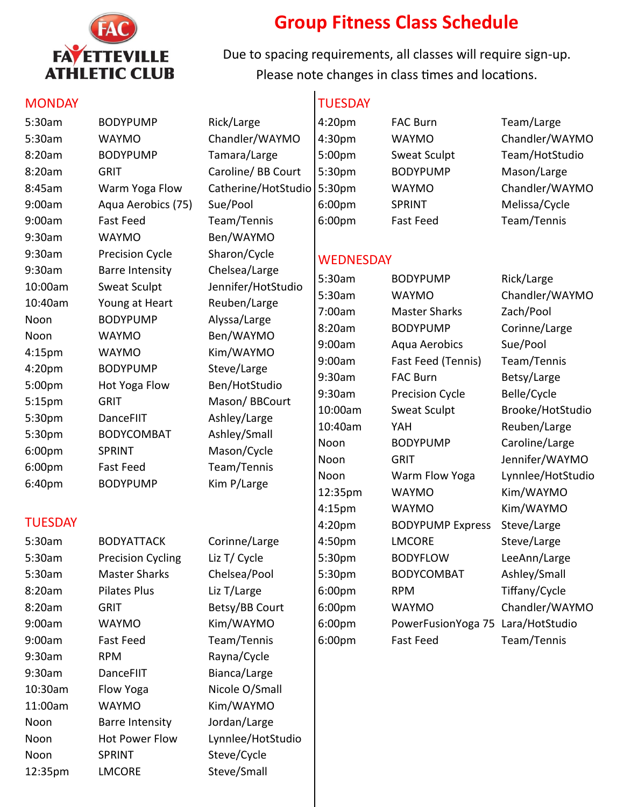

10:30am Flow Yoga Nicole O/Small 11:00am WAYMO Kim/WAYMO Noon Barre Intensity Jordan/Large

Noon SPRINT Steve/Cycle 12:35pm LMCORE Steve/Small

Noon Hot Power Flow Lynnlee/HotStudio

## **Group Fitness Class Schedule**

Due to spacing requirements, all classes will require sign-up. Please note changes in class times and locations.

TUESDAY

## **MONDAY**

| 5:30am         | <b>BODYPUMP</b>          | Rick/Large          | 4:20pm           | <b>FAC Burn</b>         | Team/Large        |  |  |
|----------------|--------------------------|---------------------|------------------|-------------------------|-------------------|--|--|
| 5:30am         | <b>WAYMO</b>             | Chandler/WAYMO      | 4:30pm           | <b>WAYMO</b>            | Chandler/WAYMO    |  |  |
| 8:20am         | <b>BODYPUMP</b>          | Tamara/Large        | 5:00pm           | Sweat Sculpt            | Team/HotStudio    |  |  |
| 8:20am         | <b>GRIT</b>              | Caroline/ BB Court  | 5:30pm           | <b>BODYPUMP</b>         | Mason/Large       |  |  |
| 8:45am         | Warm Yoga Flow           | Catherine/HotStudio | 5:30pm           | <b>WAYMO</b>            | Chandler/WAYMO    |  |  |
| 9:00am         | Aqua Aerobics (75)       | Sue/Pool            | 6:00pm           | <b>SPRINT</b>           | Melissa/Cycle     |  |  |
| 9:00am         | <b>Fast Feed</b>         | Team/Tennis         | 6:00pm           | <b>Fast Feed</b>        | Team/Tennis       |  |  |
| 9:30am         | <b>WAYMO</b>             | Ben/WAYMO           |                  |                         |                   |  |  |
| 9:30am         | <b>Precision Cycle</b>   | Sharon/Cycle        | <b>WEDNESDAY</b> |                         |                   |  |  |
| 9:30am         | <b>Barre Intensity</b>   | Chelsea/Large       |                  |                         |                   |  |  |
| 10:00am        | Sweat Sculpt             | Jennifer/HotStudio  | 5:30am           | <b>BODYPUMP</b>         | Rick/Large        |  |  |
| 10:40am        | Young at Heart           | Reuben/Large        | 5:30am           | <b>WAYMO</b>            | Chandler/WAYMO    |  |  |
| Noon           | <b>BODYPUMP</b>          | Alyssa/Large        | 7:00am           | <b>Master Sharks</b>    | Zach/Pool         |  |  |
| Noon           | <b>WAYMO</b>             | Ben/WAYMO           | 8:20am           | <b>BODYPUMP</b>         | Corinne/Large     |  |  |
| 4:15pm         | <b>WAYMO</b>             | Kim/WAYMO           | 9:00am           | Aqua Aerobics           | Sue/Pool          |  |  |
| 4:20pm         | <b>BODYPUMP</b>          | Steve/Large         | 9:00am           | Fast Feed (Tennis)      | Team/Tennis       |  |  |
| 5:00pm         | Hot Yoga Flow            | Ben/HotStudio       | 9:30am           | <b>FAC Burn</b>         | Betsy/Large       |  |  |
| 5:15pm         | <b>GRIT</b>              | Mason/BBCourt       | 9:30am           | Precision Cycle         | Belle/Cycle       |  |  |
| 5:30pm         | DanceFIIT                | Ashley/Large        | 10:00am          | Sweat Sculpt            | Brooke/HotStudio  |  |  |
| 5:30pm         | <b>BODYCOMBAT</b>        | Ashley/Small        | 10:40am          | YAH                     | Reuben/Large      |  |  |
| 6:00pm         | <b>SPRINT</b>            | Mason/Cycle         | Noon             | <b>BODYPUMP</b>         | Caroline/Large    |  |  |
| 6:00pm         | <b>Fast Feed</b>         | Team/Tennis         | Noon             | <b>GRIT</b>             | Jennifer/WAYMO    |  |  |
| 6:40pm         | <b>BODYPUMP</b>          | Kim P/Large         | Noon             | Warm Flow Yoga          | Lynnlee/HotStudio |  |  |
|                |                          |                     | 12:35pm          | <b>WAYMO</b>            | Kim/WAYMO         |  |  |
| <b>TUESDAY</b> |                          |                     | 4:15pm           | <b>WAYMO</b>            | Kim/WAYMO         |  |  |
|                |                          |                     | 4:20pm           | <b>BODYPUMP Express</b> | Steve/Large       |  |  |
| 5:30am         | <b>BODYATTACK</b>        | Corinne/Large       | 4:50pm           | <b>LMCORE</b>           | Steve/Large       |  |  |
| 5:30am         | <b>Precision Cycling</b> | Liz T/ Cycle        | 5:30pm           | <b>BODYFLOW</b>         | LeeAnn/Large      |  |  |
| 5:30am         | <b>Master Sharks</b>     | Chelsea/Pool        | 5:30pm           | <b>BODYCOMBAT</b>       | Ashley/Small      |  |  |
| 8:20am         | <b>Pilates Plus</b>      | Liz T/Large         | 6:00pm           | <b>RPM</b>              | Tiffany/Cycle     |  |  |
| 8:20am         | <b>GRIT</b>              | Betsy/BB Court      | 6:00pm           | <b>WAYMO</b>            | Chandler/WAYMO    |  |  |
| 9:00am         | <b>WAYMO</b>             | Kim/WAYMO           | 6:00pm           | PowerFusionYoga 75      | Lara/HotStudio    |  |  |
| 9:00am         | <b>Fast Feed</b>         | Team/Tennis         | 6:00pm           | <b>Fast Feed</b>        | Team/Tennis       |  |  |
| 9:30am         | <b>RPM</b>               | Rayna/Cycle         |                  |                         |                   |  |  |
| 9:30am         | DanceFIIT                | Bianca/Large        |                  |                         |                   |  |  |